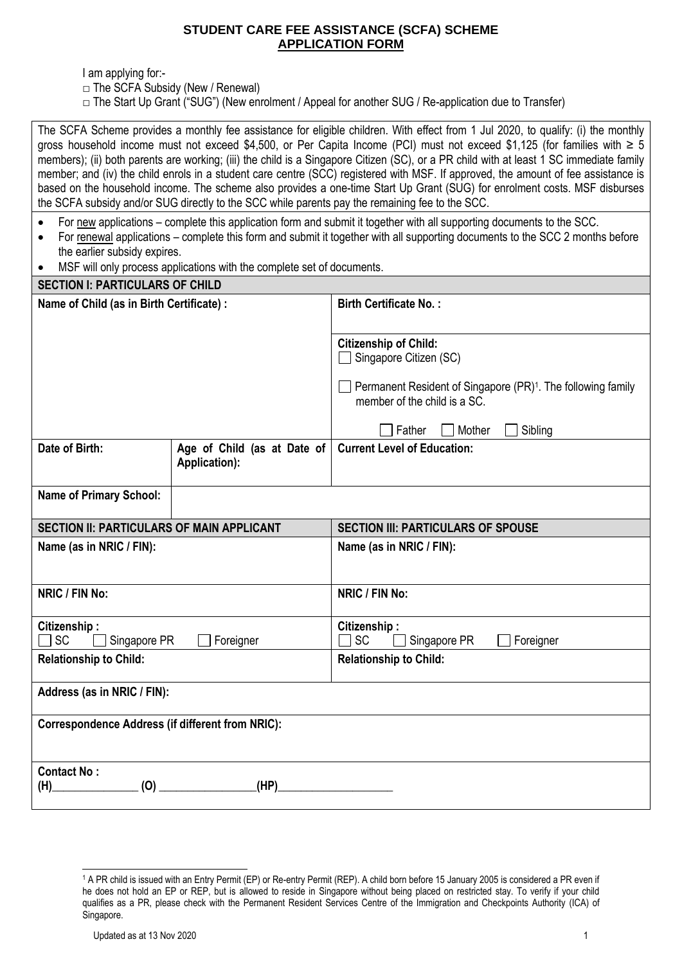# **STUDENT CARE FEE ASSISTANCE (SCFA) SCHEME APPLICATION FORM**

I am applying for:-

- $\Box$  The SCFA Subsidy (New / Renewal)
- $\Box$  The Start Up Grant ("SUG") (New enrolment / Appeal for another SUG / Re-application due to Transfer)

The SCFA Scheme provides a monthly fee assistance for eligible children. With effect from 1 Jul 2020, to qualify: (i) the monthly gross household income must not exceed \$4,500, or Per Capita Income (PCI) must not exceed \$1,125 (for families with  $\geq 5$ members); (ii) both parents are working; (iii) the child is a Singapore Citizen (SC), or a PR child with at least 1 SC immediate family member; and (iv) the child enrols in a student care centre (SCC) registered with MSF. If approved, the amount of fee assistance is based on the household income. The scheme also provides a one-time Start Up Grant (SUG) for enrolment costs. MSF disburses the SCFA subsidy and/or SUG directly to the SCC while parents pay the remaining fee to the SCC.

- For new applications complete this application form and submit it together with all supporting documents to the SCC.
- For renewal applications complete this form and submit it together with all supporting documents to the SCC 2 months before the earlier subsidy expires.
- MSF will only process applications with the complete set of documents.

| <b>SECTION I: PARTICULARS OF CHILD</b>                  |                                                     |                                                                                                          |  |  |
|---------------------------------------------------------|-----------------------------------------------------|----------------------------------------------------------------------------------------------------------|--|--|
| Name of Child (as in Birth Certificate) :               |                                                     | <b>Birth Certificate No.:</b>                                                                            |  |  |
|                                                         |                                                     | <b>Citizenship of Child:</b><br>Singapore Citizen (SC)                                                   |  |  |
|                                                         |                                                     | Permanent Resident of Singapore (PR) <sup>1</sup> . The following family<br>member of the child is a SC. |  |  |
|                                                         |                                                     | Father<br>Sibling<br>Mother                                                                              |  |  |
| Date of Birth:                                          | Age of Child (as at Date of<br><b>Application):</b> | <b>Current Level of Education:</b>                                                                       |  |  |
| <b>Name of Primary School:</b>                          |                                                     |                                                                                                          |  |  |
| <b>SECTION II: PARTICULARS OF MAIN APPLICANT</b>        |                                                     | <b>SECTION III: PARTICULARS OF SPOUSE</b>                                                                |  |  |
| Name (as in NRIC / FIN):                                |                                                     | Name (as in NRIC / FIN):                                                                                 |  |  |
| NRIC / FIN No:                                          |                                                     | NRIC / FIN No:                                                                                           |  |  |
| Citizenship:<br><b>SC</b><br>Singapore PR<br>Foreigner  |                                                     | Citizenship:<br><b>SC</b><br>Singapore PR<br>Foreigner                                                   |  |  |
| <b>Relationship to Child:</b>                           |                                                     | <b>Relationship to Child:</b>                                                                            |  |  |
| Address (as in NRIC / FIN):                             |                                                     |                                                                                                          |  |  |
| <b>Correspondence Address (if different from NRIC):</b> |                                                     |                                                                                                          |  |  |
| <b>Contact No:</b><br>(0)<br>(H)                        | (HP)                                                |                                                                                                          |  |  |

<sup>1</sup> A PR child is issued with an Entry Permit (EP) or Re-entry Permit (REP). A child born before 15 January 2005 is considered a PR even if he does not hold an EP or REP, but is allowed to reside in Singapore without being placed on restricted stay. To verify if your child qualifies as a PR, please check with the Permanent Resident Services Centre of the Immigration and Checkpoints Authority (ICA) of Singapore.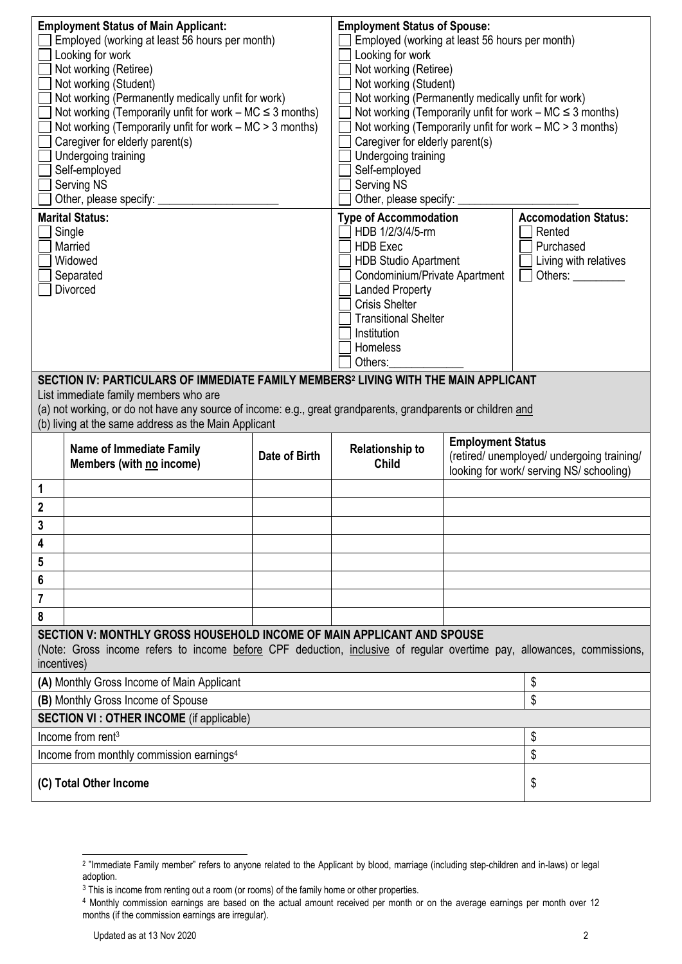| <b>Employment Status of Main Applicant:</b><br>Employed (working at least 56 hours per month)<br>Looking for work<br>Not working (Retiree)<br>Not working (Student)<br>Not working (Permanently medically unfit for work)<br>Not working (Temporarily unfit for work $-$ MC $\leq$ 3 months)<br>Not working (Temporarily unfit for work $-$ MC $>$ 3 months)<br>Caregiver for elderly parent(s)<br>Undergoing training<br>Self-employed<br>Serving NS<br>Other, please specify: _ |                                                                                                                                                                                                  |                                                                                                                                                                                                                                                             | <b>Employment Status of Spouse:</b><br>Employed (working at least 56 hours per month)<br>Looking for work<br>Not working (Retiree)<br>Not working (Student)<br>Not working (Permanently medically unfit for work)<br>Not working (Temporarily unfit for work $- MC \leq 3$ months)<br>Not working (Temporarily unfit for work $-$ MC $>$ 3 months)<br>Caregiver for elderly parent(s)<br>Undergoing training<br>Self-employed<br>Serving NS<br>Other, please specify: _ |                                                                                                                    |    |
|-----------------------------------------------------------------------------------------------------------------------------------------------------------------------------------------------------------------------------------------------------------------------------------------------------------------------------------------------------------------------------------------------------------------------------------------------------------------------------------|--------------------------------------------------------------------------------------------------------------------------------------------------------------------------------------------------|-------------------------------------------------------------------------------------------------------------------------------------------------------------------------------------------------------------------------------------------------------------|-------------------------------------------------------------------------------------------------------------------------------------------------------------------------------------------------------------------------------------------------------------------------------------------------------------------------------------------------------------------------------------------------------------------------------------------------------------------------|--------------------------------------------------------------------------------------------------------------------|----|
| <b>Marital Status:</b><br>Single<br>Married<br>Widowed<br>Separated<br>Divorced                                                                                                                                                                                                                                                                                                                                                                                                   |                                                                                                                                                                                                  | <b>Type of Accommodation</b><br>HDB 1/2/3/4/5-rm<br><b>HDB</b> Exec<br><b>HDB Studio Apartment</b><br>Condominium/Private Apartment<br><b>Landed Property</b><br><b>Crisis Shelter</b><br><b>Transitional Shelter</b><br>Institution<br>Homeless<br>Others: |                                                                                                                                                                                                                                                                                                                                                                                                                                                                         | <b>Accomodation Status:</b><br>Rented<br>Purchased<br>Living with relatives<br>Others:                             |    |
| SECTION IV: PARTICULARS OF IMMEDIATE FAMILY MEMBERS <sup>2</sup> LIVING WITH THE MAIN APPLICANT<br>List immediate family members who are<br>(a) not working, or do not have any source of income: e.g., great grandparents, grandparents or children and<br>(b) living at the same address as the Main Applicant                                                                                                                                                                  |                                                                                                                                                                                                  |                                                                                                                                                                                                                                                             |                                                                                                                                                                                                                                                                                                                                                                                                                                                                         |                                                                                                                    |    |
|                                                                                                                                                                                                                                                                                                                                                                                                                                                                                   | <b>Name of Immediate Family</b><br>Members (with no income)                                                                                                                                      | <b>Date of Birth</b>                                                                                                                                                                                                                                        | <b>Relationship to</b><br><b>Child</b>                                                                                                                                                                                                                                                                                                                                                                                                                                  | <b>Employment Status</b><br>(retired/ unemployed/ undergoing training/<br>looking for work/ serving NS/ schooling) |    |
| 1                                                                                                                                                                                                                                                                                                                                                                                                                                                                                 |                                                                                                                                                                                                  |                                                                                                                                                                                                                                                             |                                                                                                                                                                                                                                                                                                                                                                                                                                                                         |                                                                                                                    |    |
| 2                                                                                                                                                                                                                                                                                                                                                                                                                                                                                 |                                                                                                                                                                                                  |                                                                                                                                                                                                                                                             |                                                                                                                                                                                                                                                                                                                                                                                                                                                                         |                                                                                                                    |    |
| 3                                                                                                                                                                                                                                                                                                                                                                                                                                                                                 |                                                                                                                                                                                                  |                                                                                                                                                                                                                                                             |                                                                                                                                                                                                                                                                                                                                                                                                                                                                         |                                                                                                                    |    |
| 4                                                                                                                                                                                                                                                                                                                                                                                                                                                                                 |                                                                                                                                                                                                  |                                                                                                                                                                                                                                                             |                                                                                                                                                                                                                                                                                                                                                                                                                                                                         |                                                                                                                    |    |
| 5                                                                                                                                                                                                                                                                                                                                                                                                                                                                                 |                                                                                                                                                                                                  |                                                                                                                                                                                                                                                             |                                                                                                                                                                                                                                                                                                                                                                                                                                                                         |                                                                                                                    |    |
|                                                                                                                                                                                                                                                                                                                                                                                                                                                                                   |                                                                                                                                                                                                  |                                                                                                                                                                                                                                                             |                                                                                                                                                                                                                                                                                                                                                                                                                                                                         |                                                                                                                    |    |
| 6                                                                                                                                                                                                                                                                                                                                                                                                                                                                                 |                                                                                                                                                                                                  |                                                                                                                                                                                                                                                             |                                                                                                                                                                                                                                                                                                                                                                                                                                                                         |                                                                                                                    |    |
| 7                                                                                                                                                                                                                                                                                                                                                                                                                                                                                 |                                                                                                                                                                                                  |                                                                                                                                                                                                                                                             |                                                                                                                                                                                                                                                                                                                                                                                                                                                                         |                                                                                                                    |    |
| 8                                                                                                                                                                                                                                                                                                                                                                                                                                                                                 |                                                                                                                                                                                                  |                                                                                                                                                                                                                                                             |                                                                                                                                                                                                                                                                                                                                                                                                                                                                         |                                                                                                                    |    |
| incentives)                                                                                                                                                                                                                                                                                                                                                                                                                                                                       | SECTION V: MONTHLY GROSS HOUSEHOLD INCOME OF MAIN APPLICANT AND SPOUSE<br>(Note: Gross income refers to income before CPF deduction, inclusive of regular overtime pay, allowances, commissions, |                                                                                                                                                                                                                                                             |                                                                                                                                                                                                                                                                                                                                                                                                                                                                         |                                                                                                                    |    |
|                                                                                                                                                                                                                                                                                                                                                                                                                                                                                   | (A) Monthly Gross Income of Main Applicant                                                                                                                                                       |                                                                                                                                                                                                                                                             |                                                                                                                                                                                                                                                                                                                                                                                                                                                                         |                                                                                                                    | \$ |
|                                                                                                                                                                                                                                                                                                                                                                                                                                                                                   | (B) Monthly Gross Income of Spouse                                                                                                                                                               |                                                                                                                                                                                                                                                             |                                                                                                                                                                                                                                                                                                                                                                                                                                                                         |                                                                                                                    | \$ |
|                                                                                                                                                                                                                                                                                                                                                                                                                                                                                   | <b>SECTION VI : OTHER INCOME (if applicable)</b>                                                                                                                                                 |                                                                                                                                                                                                                                                             |                                                                                                                                                                                                                                                                                                                                                                                                                                                                         |                                                                                                                    |    |
|                                                                                                                                                                                                                                                                                                                                                                                                                                                                                   | Income from rent <sup>3</sup>                                                                                                                                                                    |                                                                                                                                                                                                                                                             |                                                                                                                                                                                                                                                                                                                                                                                                                                                                         |                                                                                                                    | \$ |
|                                                                                                                                                                                                                                                                                                                                                                                                                                                                                   | Income from monthly commission earnings <sup>4</sup>                                                                                                                                             |                                                                                                                                                                                                                                                             |                                                                                                                                                                                                                                                                                                                                                                                                                                                                         |                                                                                                                    | \$ |

<sup>2</sup> "Immediate Family member" refers to anyone related to the Applicant by blood, marriage (including step-children and in-laws) or legal adoption.

<sup>&</sup>lt;sup>3</sup> This is income from renting out a room (or rooms) of the family home or other properties.

<sup>4</sup> Monthly commission earnings are based on the actual amount received per month or on the average earnings per month over 12 months (if the commission earnings are irregular).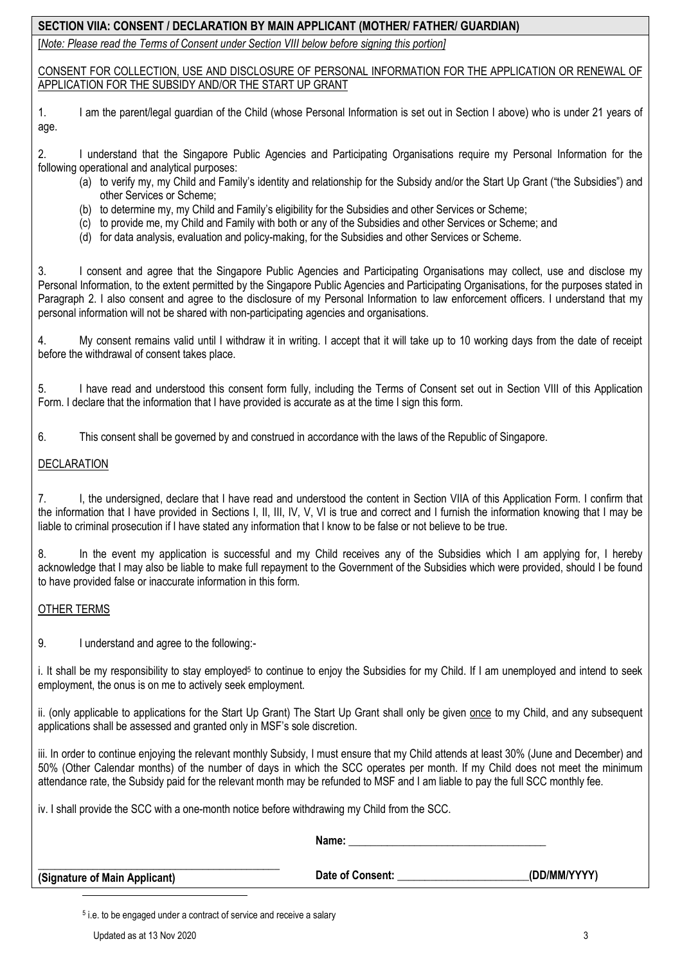# **SECTION VIIA: CONSENT / DECLARATION BY MAIN APPLICANT (MOTHER/ FATHER/ GUARDIAN)**

[*Note: Please read the Terms of Consent under Section VIII below before signing this portion]*

CONSENT FOR COLLECTION, USE AND DISCLOSURE OF PERSONAL INFORMATION FOR THE APPLICATION OR RENEWAL OF APPLICATION FOR THE SUBSIDY AND/OR THE START UP GRANT

1. I am the parent/legal guardian of the Child (whose Personal Information is set out in Section I above) who is under 21 years of age.

2. I understand that the Singapore Public Agencies and Participating Organisations require my Personal Information for the following operational and analytical purposes:

- (a) to verify my, my Child and Family's identity and relationship for the Subsidy and/or the Start Up Grant ("the Subsidies") and other Services or Scheme;
- (b) to determine my, my Child and Family's eligibility for the Subsidies and other Services or Scheme;
- (c) to provide me, my Child and Family with both or any of the Subsidies and other Services or Scheme; and
- (d) for data analysis, evaluation and policy-making, for the Subsidies and other Services or Scheme.

3. I consent and agree that the Singapore Public Agencies and Participating Organisations may collect, use and disclose my Personal Information, to the extent permitted by the Singapore Public Agencies and Participating Organisations, for the purposes stated in Paragraph 2. I also consent and agree to the disclosure of my Personal Information to law enforcement officers. I understand that my personal information will not be shared with non-participating agencies and organisations.

4. My consent remains valid until I withdraw it in writing. I accept that it will take up to 10 working days from the date of receipt before the withdrawal of consent takes place.

5. I have read and understood this consent form fully, including the Terms of Consent set out in Section VIII of this Application Form. I declare that the information that I have provided is accurate as at the time I sign this form.

6. This consent shall be governed by and construed in accordance with the laws of the Republic of Singapore.

### DECLARATION

7. I, the undersigned, declare that I have read and understood the content in Section VIIA of this Application Form. I confirm that the information that I have provided in Sections I, II, III, IV, V, VI is true and correct and I furnish the information knowing that I may be liable to criminal prosecution if I have stated any information that I know to be false or not believe to be true.

8. In the event my application is successful and my Child receives any of the Subsidies which I am applying for, I hereby acknowledge that I may also be liable to make full repayment to the Government of the Subsidies which were provided, should I be found to have provided false or inaccurate information in this form.

#### OTHER TERMS

9. I understand and agree to the following:-

i. It shall be my responsibility to stay employed<sup>5</sup> to continue to enjoy the Subsidies for my Child. If I am unemployed and intend to seek employment, the onus is on me to actively seek employment.

ii. (only applicable to applications for the Start Up Grant) The Start Up Grant shall only be given once to my Child, and any subsequent applications shall be assessed and granted only in MSF's sole discretion.

iii. In order to continue enjoying the relevant monthly Subsidy, I must ensure that my Child attends at least 30% (June and December) and 50% (Other Calendar months) of the number of days in which the SCC operates per month. If my Child does not meet the minimum attendance rate, the Subsidy paid for the relevant month may be refunded to MSF and I am liable to pay the full SCC monthly fee.

iv. I shall provide the SCC with a one-month notice before withdrawing my Child from the SCC.

|                               | Name:            |              |
|-------------------------------|------------------|--------------|
| (Signature of Main Applicant) | Date of Consent: | (DD/MM/YYYY) |

5 i.e. to be engaged under a contract of service and receive a salary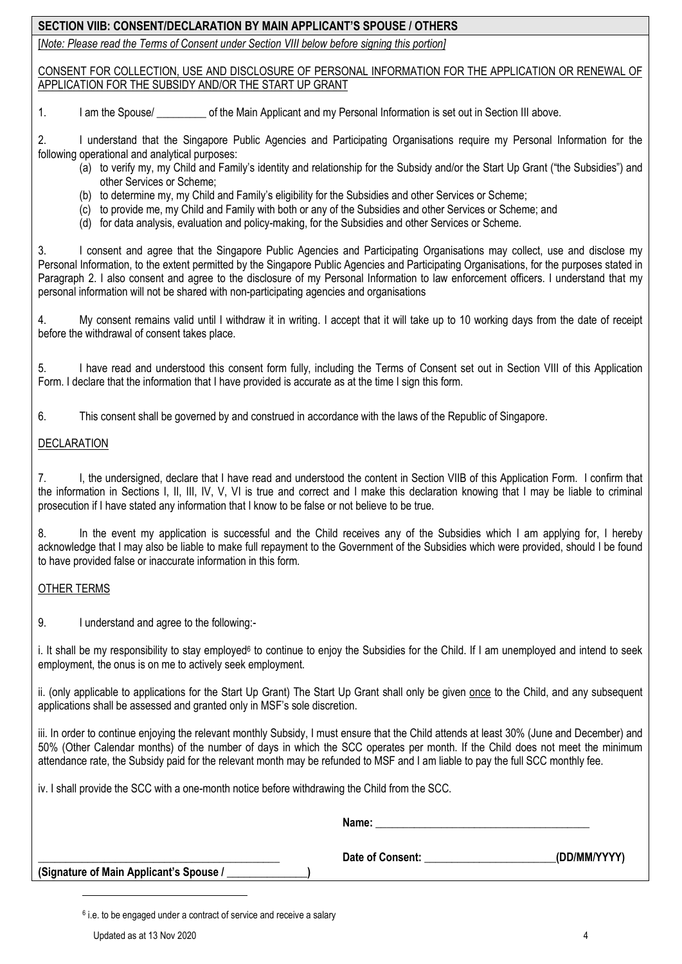# **SECTION VIIB: CONSENT/DECLARATION BY MAIN APPLICANT'S SPOUSE / OTHERS**

[*Note: Please read the Terms of Consent under Section VIII below before signing this portion]*

CONSENT FOR COLLECTION, USE AND DISCLOSURE OF PERSONAL INFORMATION FOR THE APPLICATION OR RENEWAL OF APPLICATION FOR THE SUBSIDY AND/OR THE START UP GRANT

1. I am the Spouse/  $\qquad \qquad$  of the Main Applicant and my Personal Information is set out in Section III above.

2. I understand that the Singapore Public Agencies and Participating Organisations require my Personal Information for the following operational and analytical purposes:

- (a) to verify my, my Child and Family's identity and relationship for the Subsidy and/or the Start Up Grant ("the Subsidies") and other Services or Scheme;
- (b) to determine my, my Child and Family's eligibility for the Subsidies and other Services or Scheme;
- (c) to provide me, my Child and Family with both or any of the Subsidies and other Services or Scheme; and
- (d) for data analysis, evaluation and policy-making, for the Subsidies and other Services or Scheme.

3. I consent and agree that the Singapore Public Agencies and Participating Organisations may collect, use and disclose my Personal Information, to the extent permitted by the Singapore Public Agencies and Participating Organisations, for the purposes stated in Paragraph 2. I also consent and agree to the disclosure of my Personal Information to law enforcement officers. I understand that my personal information will not be shared with non-participating agencies and organisations

4. My consent remains valid until I withdraw it in writing. I accept that it will take up to 10 working days from the date of receipt before the withdrawal of consent takes place.

5. I have read and understood this consent form fully, including the Terms of Consent set out in Section VIII of this Application Form. I declare that the information that I have provided is accurate as at the time I sign this form.

6. This consent shall be governed by and construed in accordance with the laws of the Republic of Singapore.

### DECLARATION

7. I, the undersigned, declare that I have read and understood the content in Section VIIB of this Application Form. I confirm that the information in Sections I, II, III, IV, V, VI is true and correct and I make this declaration knowing that I may be liable to criminal prosecution if I have stated any information that I know to be false or not believe to be true.

8. In the event my application is successful and the Child receives any of the Subsidies which I am applying for, I hereby acknowledge that I may also be liable to make full repayment to the Government of the Subsidies which were provided, should I be found to have provided false or inaccurate information in this form.

# OTHER TERMS

9. I understand and agree to the following:-

i. It shall be my responsibility to stay employed<sup>6</sup> to continue to enjoy the Subsidies for the Child. If I am unemployed and intend to seek employment, the onus is on me to actively seek employment.

ii. (only applicable to applications for the Start Up Grant) The Start Up Grant shall only be given once to the Child, and any subsequent applications shall be assessed and granted only in MSF's sole discretion.

iii. In order to continue enjoying the relevant monthly Subsidy, I must ensure that the Child attends at least 30% (June and December) and 50% (Other Calendar months) of the number of days in which the SCC operates per month. If the Child does not meet the minimum attendance rate, the Subsidy paid for the relevant month may be refunded to MSF and I am liable to pay the full SCC monthly fee.

iv. I shall provide the SCC with a one-month notice before withdrawing the Child from the SCC.

|                                         | Name:            |              |  |
|-----------------------------------------|------------------|--------------|--|
|                                         | Date of Consent: | (DD/MM/YYYY) |  |
| (Signature of Main Applicant's Spouse / |                  |              |  |

 $6$  i.e. to be engaged under a contract of service and receive a salary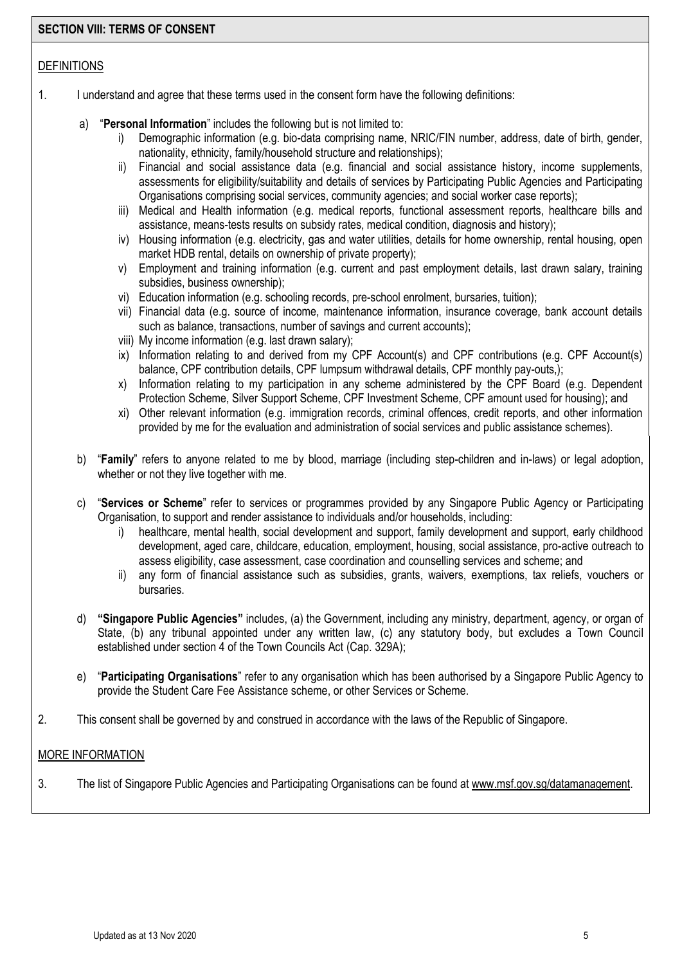#### **SECTION VIII: TERMS OF CONSENT**

### DEFINITIONS

- 1. I understand and agree that these terms used in the consent form have the following definitions:
	- a) "**Personal Information**" includes the following but is not limited to:
		- Demographic information (e.g. bio-data comprising name, NRIC/FIN number, address, date of birth, gender, nationality, ethnicity, family/household structure and relationships);
		- ii) Financial and social assistance data (e.g. financial and social assistance history, income supplements, assessments for eligibility/suitability and details of services by Participating Public Agencies and Participating Organisations comprising social services, community agencies; and social worker case reports);
		- iii) Medical and Health information (e.g. medical reports, functional assessment reports, healthcare bills and assistance, means-tests results on subsidy rates, medical condition, diagnosis and history);
		- iv) Housing information (e.g. electricity, gas and water utilities, details for home ownership, rental housing, open market HDB rental, details on ownership of private property);
		- v) Employment and training information (e.g. current and past employment details, last drawn salary, training subsidies, business ownership);
		- vi) Education information (e.g. schooling records, pre-school enrolment, bursaries, tuition);
		- vii) Financial data (e.g. source of income, maintenance information, insurance coverage, bank account details such as balance, transactions, number of savings and current accounts);
		- viii) My income information (e.g. last drawn salary);
		- ix) Information relating to and derived from my CPF Account(s) and CPF contributions (e.g. CPF Account(s) balance, CPF contribution details, CPF lumpsum withdrawal details, CPF monthly pay-outs,);
		- x) Information relating to my participation in any scheme administered by the CPF Board (e.g. Dependent Protection Scheme, Silver Support Scheme, CPF Investment Scheme, CPF amount used for housing); and
		- xi) Other relevant information (e.g. immigration records, criminal offences, credit reports, and other information provided by me for the evaluation and administration of social services and public assistance schemes).
	- b) "**Family**" refers to anyone related to me by blood, marriage (including step-children and in-laws) or legal adoption, whether or not they live together with me.
	- c) "**Services or Scheme**" refer to services or programmes provided by any Singapore Public Agency or Participating Organisation, to support and render assistance to individuals and/or households, including:
		- i) healthcare, mental health, social development and support, family development and support, early childhood development, aged care, childcare, education, employment, housing, social assistance, pro-active outreach to assess eligibility, case assessment, case coordination and counselling services and scheme; and
		- ii) any form of financial assistance such as subsidies, grants, waivers, exemptions, tax reliefs, vouchers or bursaries.
	- d) **"Singapore Public Agencies"** includes, (a) the Government, including any ministry, department, agency, or organ of State, (b) any tribunal appointed under any written law, (c) any statutory body, but excludes a Town Council established under section 4 of the Town Councils Act (Cap. 329A);
	- e) "**Participating Organisations**" refer to any organisation which has been authorised by a Singapore Public Agency to provide the Student Care Fee Assistance scheme, or other Services or Scheme.
- 2. This consent shall be governed by and construed in accordance with the laws of the Republic of Singapore.

# MORE INFORMATION

3. The list of Singapore Public Agencies and Participating Organisations can be found at [www.msf.gov.sg/datamanagement.](http://www.msf.gov.sg/datamanagement)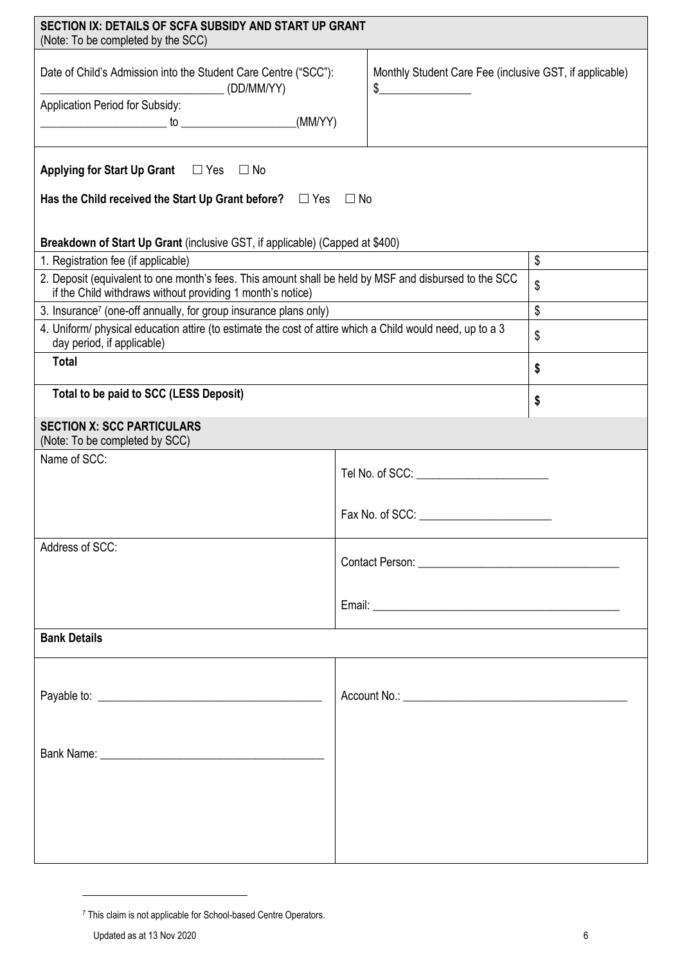| SECTION IX: DETAILS OF SCFA SUBSIDY AND START UP GRANT<br>(Note: To be completed by the SCC)                                                                                                                                                                                                                                                                                                                                                                                      |    |                           |  |  |
|-----------------------------------------------------------------------------------------------------------------------------------------------------------------------------------------------------------------------------------------------------------------------------------------------------------------------------------------------------------------------------------------------------------------------------------------------------------------------------------|----|---------------------------|--|--|
| Date of Child's Admission into the Student Care Centre ("SCC"):<br>Monthly Student Care Fee (inclusive GST, if applicable)<br>$\begin{picture}(20,10) \put(0,0){\line(1,0){10}} \put(15,0){\line(1,0){10}} \put(15,0){\line(1,0){10}} \put(15,0){\line(1,0){10}} \put(15,0){\line(1,0){10}} \put(15,0){\line(1,0){10}} \put(15,0){\line(1,0){10}} \put(15,0){\line(1,0){10}} \put(15,0){\line(1,0){10}} \put(15,0){\line(1,0){10}} \put(15,0){\line(1,0){10}} \put(15,0){\line(1$ |    |                           |  |  |
| Application Period for Subsidy:                                                                                                                                                                                                                                                                                                                                                                                                                                                   |    |                           |  |  |
| $\begin{picture}(150,10) \put(0,0){\vector(1,0){10}} \put(15,0){\vector(1,0){10}} \put(15,0){\vector(1,0){10}} \put(15,0){\vector(1,0){10}} \put(15,0){\vector(1,0){10}} \put(15,0){\vector(1,0){10}} \put(15,0){\vector(1,0){10}} \put(15,0){\vector(1,0){10}} \put(15,0){\vector(1,0){10}} \put(15,0){\vector(1,0){10}} \put(15,0){\vector(1,0){10}} \put(15,0){\vector($                                                                                                       |    |                           |  |  |
|                                                                                                                                                                                                                                                                                                                                                                                                                                                                                   |    |                           |  |  |
| Applying for Start Up Grant $\Box$ Yes $\Box$ No                                                                                                                                                                                                                                                                                                                                                                                                                                  |    |                           |  |  |
| Has the Child received the Start Up Grant before? $\Box$ Yes $\Box$ No                                                                                                                                                                                                                                                                                                                                                                                                            |    |                           |  |  |
| Breakdown of Start Up Grant (inclusive GST, if applicable) (Capped at \$400)                                                                                                                                                                                                                                                                                                                                                                                                      |    |                           |  |  |
| 1. Registration fee (if applicable)                                                                                                                                                                                                                                                                                                                                                                                                                                               |    | $\boldsymbol{\mathsf{S}}$ |  |  |
|                                                                                                                                                                                                                                                                                                                                                                                                                                                                                   |    |                           |  |  |
| 2. Deposit (equivalent to one month's fees. This amount shall be held by MSF and disbursed to the SCC<br>if the Child withdraws without providing 1 month's notice)                                                                                                                                                                                                                                                                                                               |    | \$                        |  |  |
| 3. Insurance <sup>7</sup> (one-off annually, for group insurance plans only)                                                                                                                                                                                                                                                                                                                                                                                                      |    | $\mathsf{\$}$             |  |  |
| 4. Uniform/ physical education attire (to estimate the cost of attire which a Child would need, up to a 3<br>day period, if applicable)                                                                                                                                                                                                                                                                                                                                           | \$ |                           |  |  |
| <b>Total</b>                                                                                                                                                                                                                                                                                                                                                                                                                                                                      | \$ |                           |  |  |
| Total to be paid to SCC (LESS Deposit)                                                                                                                                                                                                                                                                                                                                                                                                                                            |    | \$                        |  |  |
| <b>SECTION X: SCC PARTICULARS</b><br>(Note: To be completed by SCC)                                                                                                                                                                                                                                                                                                                                                                                                               |    |                           |  |  |
| Name of SCC:                                                                                                                                                                                                                                                                                                                                                                                                                                                                      |    |                           |  |  |
|                                                                                                                                                                                                                                                                                                                                                                                                                                                                                   |    |                           |  |  |
|                                                                                                                                                                                                                                                                                                                                                                                                                                                                                   |    |                           |  |  |
|                                                                                                                                                                                                                                                                                                                                                                                                                                                                                   |    |                           |  |  |
|                                                                                                                                                                                                                                                                                                                                                                                                                                                                                   |    |                           |  |  |
| Address of SCC:                                                                                                                                                                                                                                                                                                                                                                                                                                                                   |    |                           |  |  |
|                                                                                                                                                                                                                                                                                                                                                                                                                                                                                   |    |                           |  |  |
|                                                                                                                                                                                                                                                                                                                                                                                                                                                                                   |    |                           |  |  |
|                                                                                                                                                                                                                                                                                                                                                                                                                                                                                   |    |                           |  |  |
|                                                                                                                                                                                                                                                                                                                                                                                                                                                                                   |    |                           |  |  |
| <b>Bank Details</b>                                                                                                                                                                                                                                                                                                                                                                                                                                                               |    |                           |  |  |
|                                                                                                                                                                                                                                                                                                                                                                                                                                                                                   |    |                           |  |  |
|                                                                                                                                                                                                                                                                                                                                                                                                                                                                                   |    |                           |  |  |
|                                                                                                                                                                                                                                                                                                                                                                                                                                                                                   |    |                           |  |  |
|                                                                                                                                                                                                                                                                                                                                                                                                                                                                                   |    |                           |  |  |
|                                                                                                                                                                                                                                                                                                                                                                                                                                                                                   |    |                           |  |  |
|                                                                                                                                                                                                                                                                                                                                                                                                                                                                                   |    |                           |  |  |
|                                                                                                                                                                                                                                                                                                                                                                                                                                                                                   |    |                           |  |  |
|                                                                                                                                                                                                                                                                                                                                                                                                                                                                                   |    |                           |  |  |
|                                                                                                                                                                                                                                                                                                                                                                                                                                                                                   |    |                           |  |  |
|                                                                                                                                                                                                                                                                                                                                                                                                                                                                                   |    |                           |  |  |
|                                                                                                                                                                                                                                                                                                                                                                                                                                                                                   |    |                           |  |  |
|                                                                                                                                                                                                                                                                                                                                                                                                                                                                                   |    |                           |  |  |

<sup>7</sup> This claim is not applicable for School-based Centre Operators.